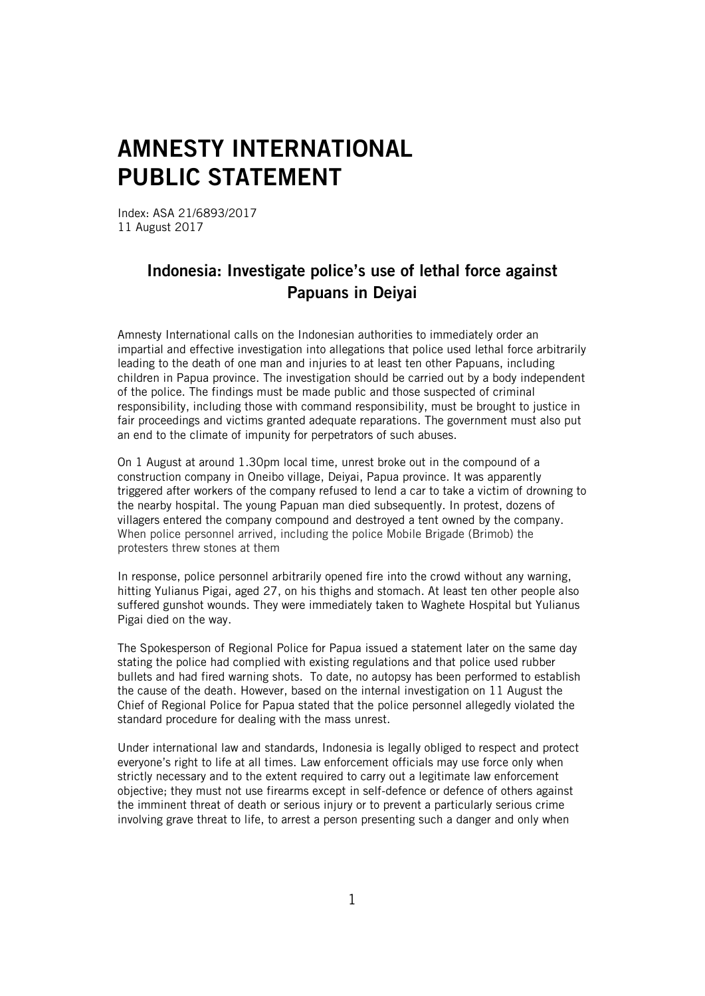## AMNESTY INTERNATIONAL PUBLIC STATEMENT

Index: ASA 21/6893/2017 11 August 2017

## Indonesia: Investigate police's use of lethal force against Papuans in Deiyai

Amnesty International calls on the Indonesian authorities to immediately order an impartial and effective investigation into allegations that police used lethal force arbitrarily leading to the death of one man and injuries to at least ten other Papuans, including children in Papua province. The investigation should be carried out by a body independent of the police. The findings must be made public and those suspected of criminal responsibility, including those with command responsibility, must be brought to justice in fair proceedings and victims granted adequate reparations. The government must also put an end to the climate of impunity for perpetrators of such abuses.

On 1 August at around 1.30pm local time, unrest broke out in the compound of a construction company in Oneibo village, Deiyai, Papua province. It was apparently triggered after workers of the company refused to lend a car to take a victim of drowning to the nearby hospital. The young Papuan man died subsequently. In protest, dozens of villagers entered the company compound and destroyed a tent owned by the company. When police personnel arrived, including the police Mobile Brigade (Brimob) the protesters threw stones at them

In response, police personnel arbitrarily opened fire into the crowd without any warning, hitting Yulianus Pigai, aged 27, on his thighs and stomach. At least ten other people also suffered gunshot wounds. They were immediately taken to Waghete Hospital but Yulianus Pigai died on the way.

The Spokesperson of Regional Police for Papua issued a statement later on the same day stating the police had complied with existing regulations and that police used rubber bullets and had fired warning shots. To date, no autopsy has been performed to establish the cause of the death. However, based on the internal investigation on 11 August the Chief of Regional Police for Papua stated that the police personnel allegedly violated the standard procedure for dealing with the mass unrest.

Under international law and standards, Indonesia is legally obliged to respect and protect everyone's right to life at all times. Law enforcement officials may use force only when strictly necessary and to the extent required to carry out a legitimate law enforcement objective; they must not use firearms except in self-defence or defence of others against the imminent threat of death or serious injury or to prevent a particularly serious crime involving grave threat to life, to arrest a person presenting such a danger and only when